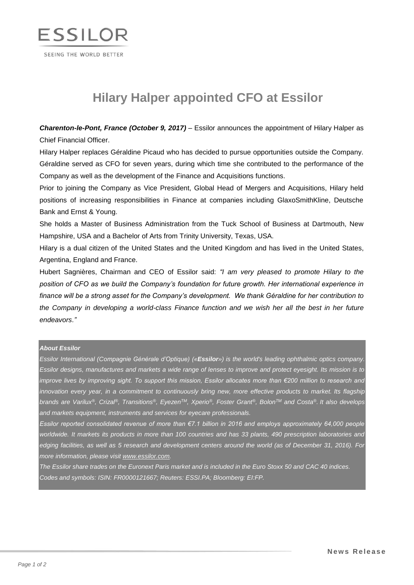

# **Hilary Halper appointed CFO at Essilor**

*Charenton-le-Pont, France (October 9, 2017)* – Essilor announces the appointment of Hilary Halper as Chief Financial Officer.

Hilary Halper replaces Géraldine Picaud who has decided to pursue opportunities outside the Company. Géraldine served as CFO for seven years, during which time she contributed to the performance of the Company as well as the development of the Finance and Acquisitions functions.

Prior to joining the Company as Vice President, Global Head of Mergers and Acquisitions, Hilary held positions of increasing responsibilities in Finance at companies including GlaxoSmithKline, Deutsche Bank and Ernst & Young.

She holds a Master of Business Administration from the Tuck School of Business at Dartmouth, New Hampshire, USA and a Bachelor of Arts from Trinity University, Texas, USA.

Hilary is a dual citizen of the United States and the United Kingdom and has lived in the United States, Argentina, England and France.

Hubert Sagnières, Chairman and CEO of Essilor said: *"I am very pleased to promote Hilary to the position of CFO as we build the Company's foundation for future growth. Her international experience in finance will be a strong asset for the Company's development. We thank Géraldine for her contribution to the Company in developing a world-class Finance function and we wish her all the best in her future endeavors."*

#### *About Essilor*

*Essilor International (Compagnie Générale d'Optique) («Essilor») is the world's leading ophthalmic optics company. Essilor designs, manufactures and markets a wide range of lenses to improve and protect eyesight. Its mission is to improve lives by improving sight. To support this mission, Essilor allocates more than €200 million to research and innovation every year, in a commitment to continuously bring new, more effective products to market. Its flagship*  brands are Varilux®, Crizal®, Transitions®, Eyezen™, Xperio®, Foster Grant®, Bolon™ and Costa®. It also develops *and markets equipment, instruments and services for eyecare professionals.*

*Essilor reported consolidated revenue of more than €7.1 billion in 2016 and employs approximately 64,000 people worldwide. It markets its products in more than 100 countries and has 33 plants, 490 prescription laboratories and edging facilities, as well as 5 research and development centers around the world (as of December 31, 2016). For more information, please visit [www.essilor.com.](https://www.essilor.com/)*

*The Essilor share trades on the Euronext Paris market and is included in the Euro Stoxx 50 and CAC 40 indices. Codes and symbols: ISIN: FR0000121667; Reuters: ESSI.PA; Bloomberg: EI:FP.*